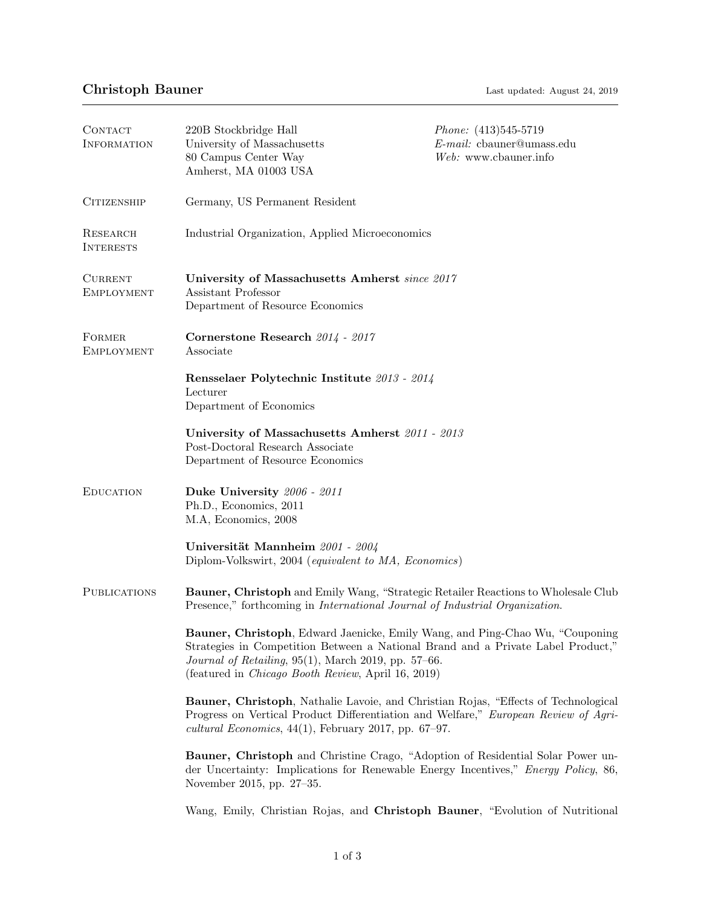| CONTACT<br><b>INFORMATION</b>       | 220B Stockbridge Hall<br>University of Massachusetts<br>80 Campus Center Way<br>Amherst, MA 01003 USA                                                                                                                                                                                    | <i>Phone:</i> $(413)545-5719$<br>$E$ -mail: cbauner@umass.edu<br>Web: www.cbauner.info |
|-------------------------------------|------------------------------------------------------------------------------------------------------------------------------------------------------------------------------------------------------------------------------------------------------------------------------------------|----------------------------------------------------------------------------------------|
| <b>CITIZENSHIP</b>                  | Germany, US Permanent Resident                                                                                                                                                                                                                                                           |                                                                                        |
| RESEARCH<br><b>INTERESTS</b>        | Industrial Organization, Applied Microeconomics                                                                                                                                                                                                                                          |                                                                                        |
| <b>CURRENT</b><br><b>EMPLOYMENT</b> | University of Massachusetts Amherst since 2017<br>Assistant Professor<br>Department of Resource Economics                                                                                                                                                                                |                                                                                        |
| FORMER<br><b>EMPLOYMENT</b>         | Cornerstone Research 2014 - 2017<br>Associate                                                                                                                                                                                                                                            |                                                                                        |
|                                     | Rensselaer Polytechnic Institute 2013 - 2014<br>Lecturer<br>Department of Economics                                                                                                                                                                                                      |                                                                                        |
|                                     | University of Massachusetts Amherst 2011 - 2013<br>Post-Doctoral Research Associate<br>Department of Resource Economics                                                                                                                                                                  |                                                                                        |
| <b>EDUCATION</b>                    | Duke University 2006 - 2011<br>Ph.D., Economics, 2011<br>M.A, Economics, 2008                                                                                                                                                                                                            |                                                                                        |
|                                     | Universität Mannheim 2001 - 2004<br>Diplom-Volkswirt, 2004 (equivalent to MA, Economics)                                                                                                                                                                                                 |                                                                                        |
| <b>PUBLICATIONS</b>                 | <b>Bauner, Christoph</b> and Emily Wang, "Strategic Retailer Reactions to Wholesale Club<br>Presence," forthcoming in International Journal of Industrial Organization.                                                                                                                  |                                                                                        |
|                                     | Bauner, Christoph, Edward Jaenicke, Emily Wang, and Ping-Chao Wu, "Couponing<br>Strategies in Competition Between a National Brand and a Private Label Product,"<br><i>Journal of Retailing</i> , $95(1)$ , March 2019, pp. 57–66.<br>(featured in Chicago Booth Review, April 16, 2019) |                                                                                        |
|                                     | <b>Bauner, Christoph</b> , Nathalie Lavoie, and Christian Rojas, "Effects of Technological<br>Progress on Vertical Product Differentiation and Welfare," European Review of Agri-<br><i>cultural Economics</i> , $44(1)$ , February 2017, pp. 67–97.                                     |                                                                                        |
|                                     | Bauner, Christoph and Christine Crago, "Adoption of Residential Solar Power un-<br>der Uncertainty: Implications for Renewable Energy Incentives," <i>Energy Policy</i> , 86,<br>November 2015, pp. 27-35.                                                                               |                                                                                        |
|                                     | Wang, Emily, Christian Rojas, and Christoph Bauner, "Evolution of Nutritional                                                                                                                                                                                                            |                                                                                        |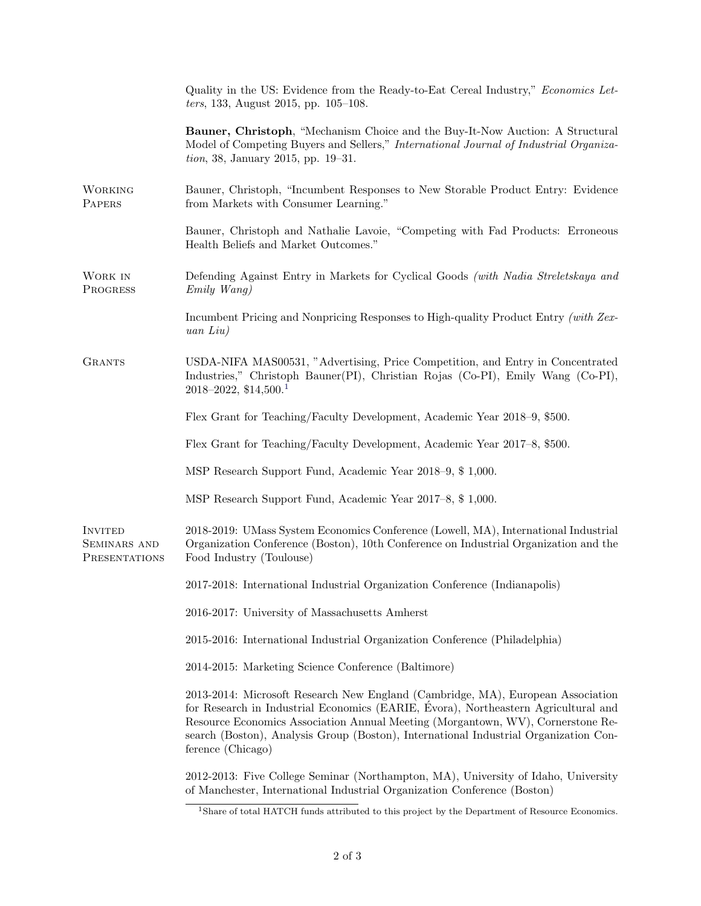|                                                        | Quality in the US: Evidence from the Ready-to-Eat Cereal Industry," Economics Let-<br>ters, 133, August 2015, pp. 105–108.                                                                                                                                                                                                                                            |
|--------------------------------------------------------|-----------------------------------------------------------------------------------------------------------------------------------------------------------------------------------------------------------------------------------------------------------------------------------------------------------------------------------------------------------------------|
|                                                        | Bauner, Christoph, "Mechanism Choice and the Buy-It-Now Auction: A Structural<br>Model of Competing Buyers and Sellers," International Journal of Industrial Organiza-<br>tion, 38, January 2015, pp. 19-31.                                                                                                                                                          |
| <b>WORKING</b><br>PAPERS                               | Bauner, Christoph, "Incumbent Responses to New Storable Product Entry: Evidence<br>from Markets with Consumer Learning."                                                                                                                                                                                                                                              |
|                                                        | Bauner, Christoph and Nathalie Lavoie, "Competing with Fad Products: Erroneous<br>Health Beliefs and Market Outcomes."                                                                                                                                                                                                                                                |
| WORK IN<br>PROGRESS                                    | Defending Against Entry in Markets for Cyclical Goods (with Nadia Streletskaya and<br>Emily Wang)                                                                                                                                                                                                                                                                     |
|                                                        | Incumbent Pricing and Nonpricing Responses to High-quality Product Entry (with Zex-<br>$uan\, Liu)$                                                                                                                                                                                                                                                                   |
| <b>GRANTS</b>                                          | USDA-NIFA MAS00531, "Advertising, Price Competition, and Entry in Concentrated<br>Industries," Christoph Bauner(PI), Christian Rojas (Co-PI), Emily Wang (Co-PI),<br>$2018 - 2022$ , \$14,500. <sup>1</sup>                                                                                                                                                           |
|                                                        | Flex Grant for Teaching/Faculty Development, Academic Year 2018–9, \$500.                                                                                                                                                                                                                                                                                             |
|                                                        | Flex Grant for Teaching/Faculty Development, Academic Year 2017–8, \$500.                                                                                                                                                                                                                                                                                             |
|                                                        | MSP Research Support Fund, Academic Year 2018–9, \$1,000.                                                                                                                                                                                                                                                                                                             |
|                                                        | MSP Research Support Fund, Academic Year 2017–8, \$1,000.                                                                                                                                                                                                                                                                                                             |
| <b>INVITED</b><br><b>SEMINARS AND</b><br>PRESENTATIONS | 2018-2019: UMass System Economics Conference (Lowell, MA), International Industrial<br>Organization Conference (Boston), 10th Conference on Industrial Organization and the<br>Food Industry (Toulouse)                                                                                                                                                               |
|                                                        | 2017-2018: International Industrial Organization Conference (Indianapolis)                                                                                                                                                                                                                                                                                            |
|                                                        | 2016-2017: University of Massachusetts Amherst                                                                                                                                                                                                                                                                                                                        |
|                                                        | 2015-2016: International Industrial Organization Conference (Philadelphia)                                                                                                                                                                                                                                                                                            |
|                                                        | 2014-2015: Marketing Science Conference (Baltimore)                                                                                                                                                                                                                                                                                                                   |
|                                                        | 2013-2014: Microsoft Research New England (Cambridge, MA), European Association<br>for Research in Industrial Economics (EARIE, Évora), Northeastern Agricultural and<br>Resource Economics Association Annual Meeting (Morgantown, WV), Cornerstone Re-<br>search (Boston), Analysis Group (Boston), International Industrial Organization Con-<br>ference (Chicago) |
|                                                        | 2012-2013: Five College Seminar (Northampton, MA), University of Idaho, University<br>of Manchester, International Industrial Organization Conference (Boston)                                                                                                                                                                                                        |

<span id="page-1-0"></span><sup>1</sup>Share of total HATCH funds attributed to this project by the Department of Resource Economics.